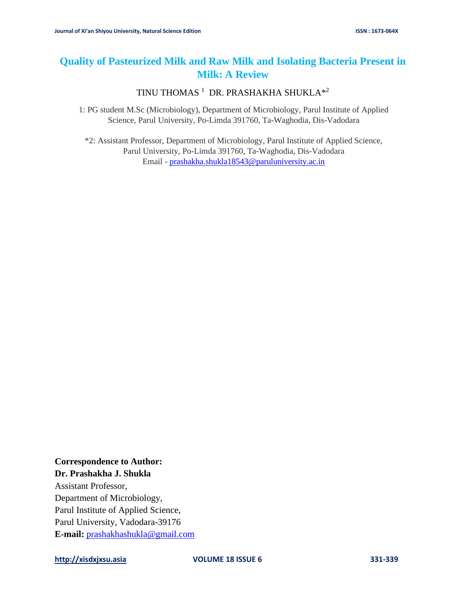# **Quality of Pasteurized Milk and Raw Milk and Isolating Bacteria Present in Milk: A Review**

TINU THOMAS  $^1$  DR. PRASHAKHA SHUKLA $^{\ast 2}$ 

1: PG student M.Sc (Microbiology), Department of Microbiology, Parul Institute of Applied Science, Parul University, Po-Limda 391760, Ta-Waghodia, Dis-Vadodara

\*2: Assistant Professor, Department of Microbiology, Parul Institute of Applied Science, Parul University, Po-Limda 391760, Ta-Waghodia, Dis-Vadodara Email - [prashakha.shukla18543@paruluniversity.ac.in](mailto:prashakha.shukla18543@paruluniversity.ac.in)

### **Correspondence to Author: Dr. Prashakha J. Shukla**

Assistant Professor, Department of Microbiology, Parul Institute of Applied Science, Parul University, Vadodara-39176 **E-mail:** [prashakhashukla@gmail.com](mailto:prashakhashukla@gmail.com)

**[http://xisdxjxsu.asia](http://xisdxjxsu.asia/) VOLUME 18 ISSUE 6 331-339**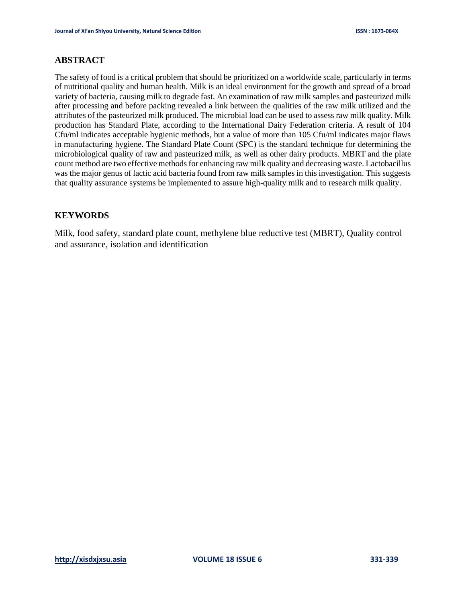### **ABSTRACT**

The safety of food is a critical problem that should be prioritized on a worldwide scale, particularly in terms of nutritional quality and human health. Milk is an ideal environment for the growth and spread of a broad variety of bacteria, causing milk to degrade fast. An examination of raw milk samples and pasteurized milk after processing and before packing revealed a link between the qualities of the raw milk utilized and the attributes of the pasteurized milk produced. The microbial load can be used to assess raw milk quality. Milk production has Standard Plate, according to the International Dairy Federation criteria. A result of 104 Cfu/ml indicates acceptable hygienic methods, but a value of more than 105 Cfu/ml indicates major flaws in manufacturing hygiene. The Standard Plate Count (SPC) is the standard technique for determining the microbiological quality of raw and pasteurized milk, as well as other dairy products. MBRT and the plate count method are two effective methods for enhancing raw milk quality and decreasing waste. Lactobacillus was the major genus of lactic acid bacteria found from raw milk samples in this investigation. This suggests that quality assurance systems be implemented to assure high-quality milk and to research milk quality.

### **KEYWORDS**

Milk, food safety, standard plate count, methylene blue reductive test (MBRT), Quality control and assurance, isolation and identification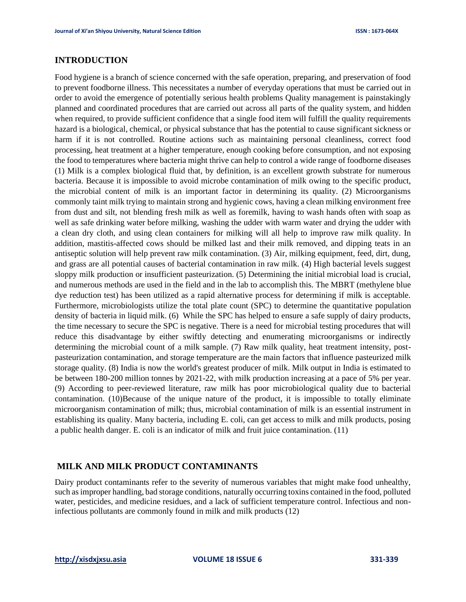### **INTRODUCTION**

Food hygiene is a branch of science concerned with the safe operation, preparing, and preservation of food to prevent foodborne illness. This necessitates a number of everyday operations that must be carried out in order to avoid the emergence of potentially serious health problems Quality management is painstakingly planned and coordinated procedures that are carried out across all parts of the quality system, and hidden when required, to provide sufficient confidence that a single food item will fulfill the quality requirements hazard is a biological, chemical, or physical substance that has the potential to cause significant sickness or harm if it is not controlled. Routine actions such as maintaining personal cleanliness, correct food processing, heat treatment at a higher temperature, enough cooking before consumption, and not exposing the food to temperatures where bacteria might thrive can help to control a wide range of foodborne diseases (1) Milk is a complex biological fluid that, by definition, is an excellent growth substrate for numerous bacteria. Because it is impossible to avoid microbe contamination of milk owing to the specific product, the microbial content of milk is an important factor in determining its quality. (2) Microorganisms commonly taint milk trying to maintain strong and hygienic cows, having a clean milking environment free from dust and silt, not blending fresh milk as well as foremilk, having to wash hands often with soap as well as safe drinking water before milking, washing the udder with warm water and drying the udder with a clean dry cloth, and using clean containers for milking will all help to improve raw milk quality. In addition, mastitis-affected cows should be milked last and their milk removed, and dipping teats in an antiseptic solution will help prevent raw milk contamination. (3) Air, milking equipment, feed, dirt, dung, and grass are all potential causes of bacterial contamination in raw milk. (4) High bacterial levels suggest sloppy milk production or insufficient pasteurization. (5) Determining the initial microbial load is crucial, and numerous methods are used in the field and in the lab to accomplish this. The MBRT (methylene blue dye reduction test) has been utilized as a rapid alternative process for determining if milk is acceptable. Furthermore, microbiologists utilize the total plate count (SPC) to determine the quantitative population density of bacteria in liquid milk. (6) While the SPC has helped to ensure a safe supply of dairy products, the time necessary to secure the SPC is negative. There is a need for microbial testing procedures that will reduce this disadvantage by either swiftly detecting and enumerating microorganisms or indirectly determining the microbial count of a milk sample. (7) Raw milk quality, heat treatment intensity, postpasteurization contamination, and storage temperature are the main factors that influence pasteurized milk storage quality. (8) India is now the world's greatest producer of milk. Milk output in India is estimated to be between 180-200 million tonnes by 2021-22, with milk production increasing at a pace of 5% per year. (9) According to peer-reviewed literature, raw milk has poor microbiological quality due to bacterial contamination. (10)Because of the unique nature of the product, it is impossible to totally eliminate microorganism contamination of milk; thus, microbial contamination of milk is an essential instrument in establishing its quality. Many bacteria, including E. coli, can get access to milk and milk products, posing a public health danger. E. coli is an indicator of milk and fruit juice contamination. (11)

#### **MILK AND MILK PRODUCT CONTAMINANTS**

Dairy product contaminants refer to the severity of numerous variables that might make food unhealthy, such as improper handling, bad storage conditions, naturally occurring toxins contained in the food, polluted water, pesticides, and medicine residues, and a lack of sufficient temperature control. Infectious and noninfectious pollutants are commonly found in milk and milk products (12)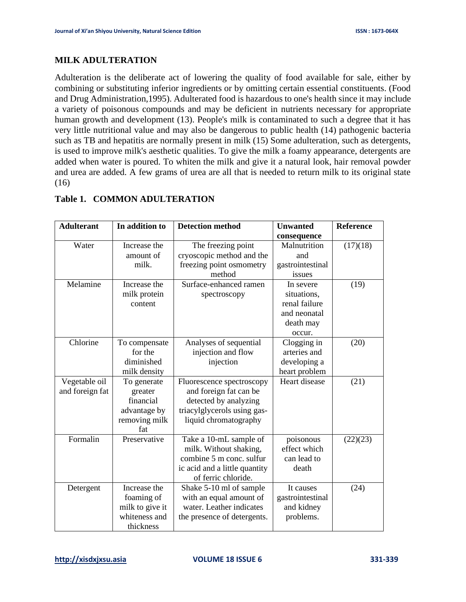### **MILK ADULTERATION**

Adulteration is the deliberate act of lowering the quality of food available for sale, either by combining or substituting inferior ingredients or by omitting certain essential constituents. (Food and Drug Administration,1995). Adulterated food is hazardous to one's health since it may include a variety of poisonous compounds and may be deficient in nutrients necessary for appropriate human growth and development (13). People's milk is contaminated to such a degree that it has very little nutritional value and may also be dangerous to public health (14) pathogenic bacteria such as TB and hepatitis are normally present in milk (15) Some adulteration, such as detergents, is used to improve milk's aesthetic qualities. To give the milk a foamy appearance, detergents are added when water is poured. To whiten the milk and give it a natural look, hair removal powder and urea are added. A few grams of urea are all that is needed to return milk to its original state (16)

| <b>Adulterant</b> | In addition to  | <b>Detection method</b>       | <b>Unwanted</b>  | <b>Reference</b> |
|-------------------|-----------------|-------------------------------|------------------|------------------|
|                   |                 |                               | consequence      |                  |
| Water             | Increase the    | The freezing point            | Malnutrition     | (17)(18)         |
|                   | amount of       | cryoscopic method and the     | and              |                  |
|                   | milk.           | freezing point osmometry      | gastrointestinal |                  |
|                   |                 | method                        | issues           |                  |
| Melamine          | Increase the    | Surface-enhanced ramen        | In severe        | (19)             |
|                   | milk protein    | spectroscopy                  | situations,      |                  |
|                   | content         |                               | renal failure    |                  |
|                   |                 |                               | and neonatal     |                  |
|                   |                 |                               | death may        |                  |
|                   |                 |                               | occur.           |                  |
| Chlorine          | To compensate   | Analyses of sequential        | Clogging in      | (20)             |
|                   | for the         | injection and flow            | arteries and     |                  |
|                   | diminished      | injection                     | developing a     |                  |
|                   | milk density    |                               | heart problem    |                  |
| Vegetable oil     | To generate     | Fluorescence spectroscopy     | Heart disease    | (21)             |
| and foreign fat   | greater         | and foreign fat can be        |                  |                  |
|                   | financial       | detected by analyzing         |                  |                  |
|                   | advantage by    | triacylglycerols using gas-   |                  |                  |
|                   | removing milk   | liquid chromatography         |                  |                  |
|                   | fat             |                               |                  |                  |
| Formalin          | Preservative    | Take a 10-mL sample of        | poisonous        | (22)(23)         |
|                   |                 | milk. Without shaking,        | effect which     |                  |
|                   |                 | combine 5 m conc. sulfur      | can lead to      |                  |
|                   |                 | ic acid and a little quantity | death            |                  |
|                   |                 | of ferric chloride.           |                  |                  |
| Detergent         | Increase the    | Shake 5-10 ml of sample       | It causes        | (24)             |
|                   | foaming of      | with an equal amount of       | gastrointestinal |                  |
|                   | milk to give it | water. Leather indicates      | and kidney       |                  |
|                   | whiteness and   | the presence of detergents.   | problems.        |                  |
|                   | thickness       |                               |                  |                  |

# **Table 1. COMMON ADULTERATION**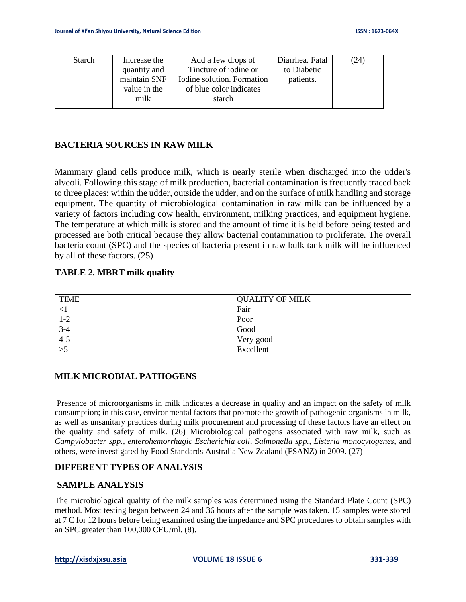| <b>Starch</b> | Increase the | Add a few drops of         | Diarrhea. Fatal | (24) |
|---------------|--------------|----------------------------|-----------------|------|
|               | quantity and | Tincture of iodine or      | to Diabetic     |      |
|               | maintain SNF | Iodine solution. Formation | patients.       |      |
|               | value in the | of blue color indicates    |                 |      |
|               | milk         | starch                     |                 |      |
|               |              |                            |                 |      |

# **BACTERIA SOURCES IN RAW MILK**

Mammary gland cells produce milk, which is nearly sterile when discharged into the udder's alveoli. Following this stage of milk production, bacterial contamination is frequently traced back to three places: within the udder, outside the udder, and on the surface of milk handling and storage equipment. The quantity of microbiological contamination in raw milk can be influenced by a variety of factors including cow health, environment, milking practices, and equipment hygiene. The temperature at which milk is stored and the amount of time it is held before being tested and processed are both critical because they allow bacterial contamination to proliferate. The overall bacteria count (SPC) and the species of bacteria present in raw bulk tank milk will be influenced by all of these factors. (25)

### **TABLE 2. MBRT milk quality**

| <b>TIME</b> | <b>QUALITY OF MILK</b> |
|-------------|------------------------|
|             | Fair                   |
| $1-2$       | Poor                   |
| $3 - 4$     | Good                   |
| $4 - 5$     | Very good              |
|             | Excellent              |

### **MILK MICROBIAL PATHOGENS**

Presence of microorganisms in milk indicates a decrease in quality and an impact on the safety of milk consumption; in this case, environmental factors that promote the growth of pathogenic organisms in milk, as well as unsanitary practices during milk procurement and processing of these factors have an effect on the quality and safety of milk. (26) Microbiological pathogens associated with raw milk, such as *Campylobacter spp., enterohemorrhagic Escherichia coli, Salmonella spp., Listeria monocytogenes,* and others, were investigated by Food Standards Australia New Zealand (FSANZ) in 2009. (27)

#### **DIFFERENT TYPES OF ANALYSIS**

#### **SAMPLE ANALYSIS**

The microbiological quality of the milk samples was determined using the Standard Plate Count (SPC) method. Most testing began between 24 and 36 hours after the sample was taken. 15 samples were stored at 7 C for 12 hours before being examined using the impedance and SPC procedures to obtain samples with an SPC greater than 100,000 CFU/ml. (8).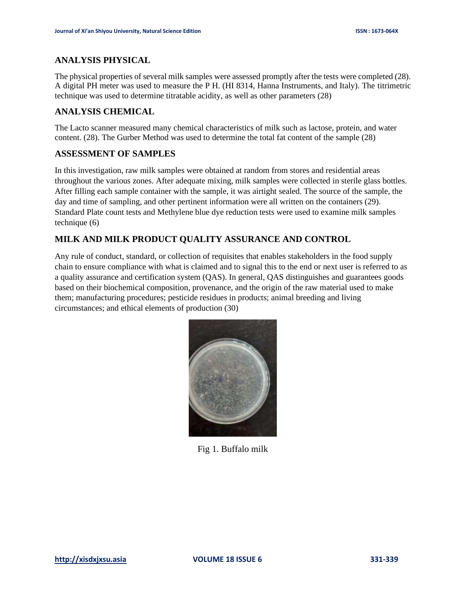# **ANALYSIS PHYSICAL**

The physical properties of several milk samples were assessed promptly after the tests were completed (28). A digital PH meter was used to measure the P H. (HI 8314, Hanna Instruments, and Italy). The titrimetric technique was used to determine titratable acidity, as well as other parameters (28)

# **ANALYSIS CHEMICAL**

The Lacto scanner measured many chemical characteristics of milk such as lactose, protein, and water content. (28). The Gurber Method was used to determine the total fat content of the sample (28)

### **ASSESSMENT OF SAMPLES**

In this investigation, raw milk samples were obtained at random from stores and residential areas throughout the various zones. After adequate mixing, milk samples were collected in sterile glass bottles. After filling each sample container with the sample, it was airtight sealed. The source of the sample, the day and time of sampling, and other pertinent information were all written on the containers (29). Standard Plate count tests and Methylene blue dye reduction tests were used to examine milk samples technique (6)

# **MILK AND MILK PRODUCT QUALITY ASSURANCE AND CONTROL**

Any rule of conduct, standard, or collection of requisites that enables stakeholders in the food supply chain to ensure compliance with what is claimed and to signal this to the end or next user is referred to as a quality assurance and certification system (QAS). In general, QAS distinguishes and guarantees goods based on their biochemical composition, provenance, and the origin of the raw material used to make them; manufacturing procedures; pesticide residues in products; animal breeding and living circumstances; and ethical elements of production (30)



Fig 1. Buffalo milk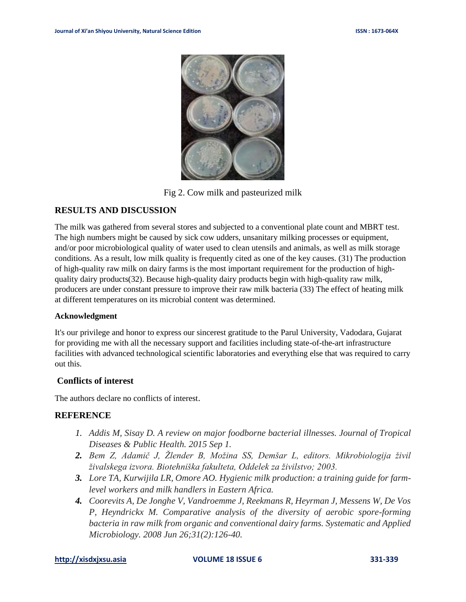

Fig 2. Cow milk and pasteurized milk

# **RESULTS AND DISCUSSION**

The milk was gathered from several stores and subjected to a conventional plate count and MBRT test. The high numbers might be caused by sick cow udders, unsanitary milking processes or equipment, and/or poor microbiological quality of water used to clean utensils and animals, as well as milk storage conditions. As a result, low milk quality is frequently cited as one of the key causes. (31) The production of high-quality raw milk on dairy farms is the most important requirement for the production of highquality dairy products(32). Because high-quality dairy products begin with high-quality raw milk, producers are under constant pressure to improve their raw milk bacteria (33) The effect of heating milk at different temperatures on its microbial content was determined.

#### **Acknowledgment**

It's our privilege and honor to express our sincerest gratitude to the Parul University, Vadodara, Gujarat for providing me with all the necessary support and facilities including state-of-the-art infrastructure facilities with advanced technological scientific laboratories and everything else that was required to carry out this.

### **Conflicts of interest**

The authors declare no conflicts of interest.

### **REFERENCE**

- *1. Addis M, Sisay D. A review on major foodborne bacterial illnesses. Journal of Tropical Diseases & Public Health. 2015 Sep 1.*
- *2. Bem Z, Adamič J, Žlender B, Možina SS, Demšar L, editors. Mikrobiologija živil živalskega izvora. Biotehniška fakulteta, Oddelek za živilstvo; 2003.*
- *3. Lore TA, Kurwijila LR, Omore AO. Hygienic milk production: a training guide for farmlevel workers and milk handlers in Eastern Africa.*
- *4. Coorevits A, De Jonghe V, Vandroemme J, Reekmans R, Heyrman J, Messens W, De Vos P, Heyndrickx M. Comparative analysis of the diversity of aerobic spore-forming bacteria in raw milk from organic and conventional dairy farms. Systematic and Applied Microbiology. 2008 Jun 26;31(2):126-40.*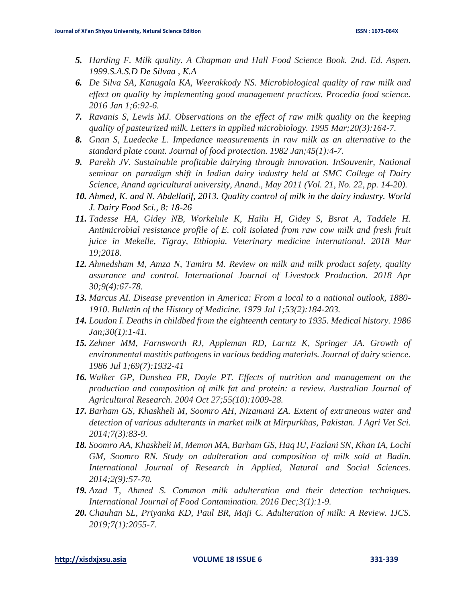- *5. Harding F. Milk quality. A Chapman and Hall Food Science Book. 2nd. Ed. Aspen. 1999.S.A.S.D De Silvaa , K.A*
- *6. De Silva SA, Kanugala KA, Weerakkody NS. Microbiological quality of raw milk and effect on quality by implementing good management practices. Procedia food science. 2016 Jan 1;6:92-6.*
- *7. Ravanis S, Lewis MJ. Observations on the effect of raw milk quality on the keeping quality of pasteurized milk. Letters in applied microbiology. 1995 Mar;20(3):164-7.*
- *8. Gnan S, Luedecke L. Impedance measurements in raw milk as an alternative to the standard plate count. Journal of food protection. 1982 Jan;45(1):4-7.*
- *9. Parekh JV. Sustainable profitable dairying through innovation. InSouvenir, National seminar on paradigm shift in Indian dairy industry held at SMC College of Dairy Science, Anand agricultural university, Anand., May 2011 (Vol. 21, No. 22, pp. 14-20).*
- *10. Ahmed, K. and N. Abdellatif, 2013. Quality control of milk in the dairy industry. World J. Dairy Food Sci., 8: 18-26*
- *11. Tadesse HA, Gidey NB, Workelule K, Hailu H, Gidey S, Bsrat A, Taddele H. Antimicrobial resistance profile of E. coli isolated from raw cow milk and fresh fruit juice in Mekelle, Tigray, Ethiopia. Veterinary medicine international. 2018 Mar 19;2018.*
- *12. Ahmedsham M, Amza N, Tamiru M. Review on milk and milk product safety, quality assurance and control. International Journal of Livestock Production. 2018 Apr 30;9(4):67-78.*
- *13. Marcus AI. Disease prevention in America: From a local to a national outlook, 1880- 1910. Bulletin of the History of Medicine. 1979 Jul 1;53(2):184-203.*
- *14. Loudon I. Deaths in childbed from the eighteenth century to 1935. Medical history. 1986 Jan;30(1):1-41.*
- *15. Zehner MM, Farnsworth RJ, Appleman RD, Larntz K, Springer JA. Growth of environmental mastitis pathogens in various bedding materials. Journal of dairy science. 1986 Jul 1;69(7):1932-41*
- *16. Walker GP, Dunshea FR, Doyle PT. Effects of nutrition and management on the production and composition of milk fat and protein: a review. Australian Journal of Agricultural Research. 2004 Oct 27;55(10):1009-28.*
- *17. Barham GS, Khaskheli M, Soomro AH, Nizamani ZA. Extent of extraneous water and detection of various adulterants in market milk at Mirpurkhas, Pakistan. J Agri Vet Sci. 2014;7(3):83-9.*
- *18. Soomro AA, Khaskheli M, Memon MA, Barham GS, Haq IU, Fazlani SN, Khan IA, Lochi GM, Soomro RN. Study on adulteration and composition of milk sold at Badin. International Journal of Research in Applied, Natural and Social Sciences. 2014;2(9):57-70.*
- *19. Azad T, Ahmed S. Common milk adulteration and their detection techniques. International Journal of Food Contamination. 2016 Dec;3(1):1-9.*
- *20. Chauhan SL, Priyanka KD, Paul BR, Maji C. Adulteration of milk: A Review. IJCS. 2019;7(1):2055-7.*